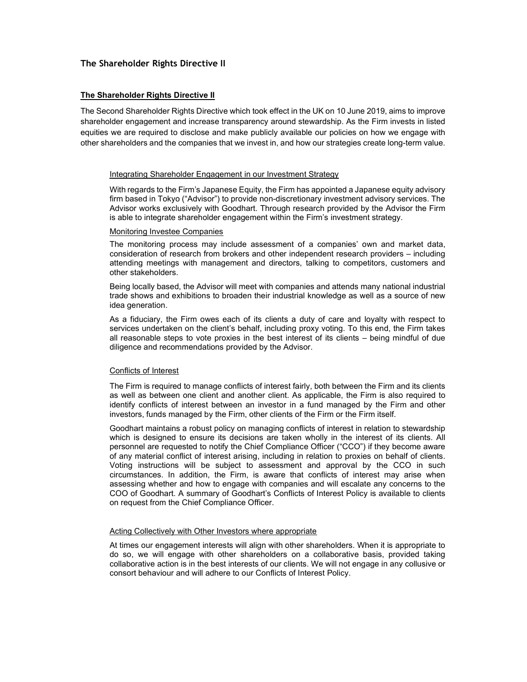## The Shareholder Rights Directive II

## **The Shareholder Rights Directive II**

The Second Shareholder Rights Directive which took effect in the UK on 10 June 2019, aims to improve shareholder engagement and increase transparency around stewardship. As the Firm invests in listed equities we are required to disclose and make publicly available our policies on how we engage with other shareholders and the companies that we invest in, and how our strategies create long-term value.

## Integrating Shareholder Engagement in our Investment Strategy

With regards to the Firm's Japanese Equity, the Firm has appointed a Japanese equity advisory firm based in Tokyo ("Advisor") to provide non-discretionary investment advisory services. The Advisor works exclusively with Goodhart. Through research provided by the Advisor the Firm is able to integrate shareholder engagement within the Firm's investment strategy.

#### Monitoring Investee Companies

The monitoring process may include assessment of a companies' own and market data, consideration of research from brokers and other independent research providers – including attending meetings with management and directors, talking to competitors, customers and other stakeholders.

Being locally based, the Advisor will meet with companies and attends many national industrial trade shows and exhibitions to broaden their industrial knowledge as well as a source of new idea generation.

As a fiduciary, the Firm owes each of its clients a duty of care and loyalty with respect to services undertaken on the client's behalf, including proxy voting. To this end, the Firm takes all reasonable steps to vote proxies in the best interest of its clients – being mindful of due diligence and recommendations provided by the Advisor.

## Conflicts of Interest

The Firm is required to manage conflicts of interest fairly, both between the Firm and its clients as well as between one client and another client. As applicable, the Firm is also required to identify conflicts of interest between an investor in a fund managed by the Firm and other investors, funds managed by the Firm, other clients of the Firm or the Firm itself.

Goodhart maintains a robust policy on managing conflicts of interest in relation to stewardship which is designed to ensure its decisions are taken wholly in the interest of its clients. All personnel are requested to notify the Chief Compliance Officer ("CCO") if they become aware of any material conflict of interest arising, including in relation to proxies on behalf of clients. Voting instructions will be subject to assessment and approval by the CCO in such circumstances. In addition, the Firm, is aware that conflicts of interest may arise when assessing whether and how to engage with companies and will escalate any concerns to the COO of Goodhart. A summary of Goodhart's Conflicts of Interest Policy is available to clients on request from the Chief Compliance Officer.

## Acting Collectively with Other Investors where appropriate

At times our engagement interests will align with other shareholders. When it is appropriate to do so, we will engage with other shareholders on a collaborative basis, provided taking collaborative action is in the best interests of our clients. We will not engage in any collusive or consort behaviour and will adhere to our Conflicts of Interest Policy.